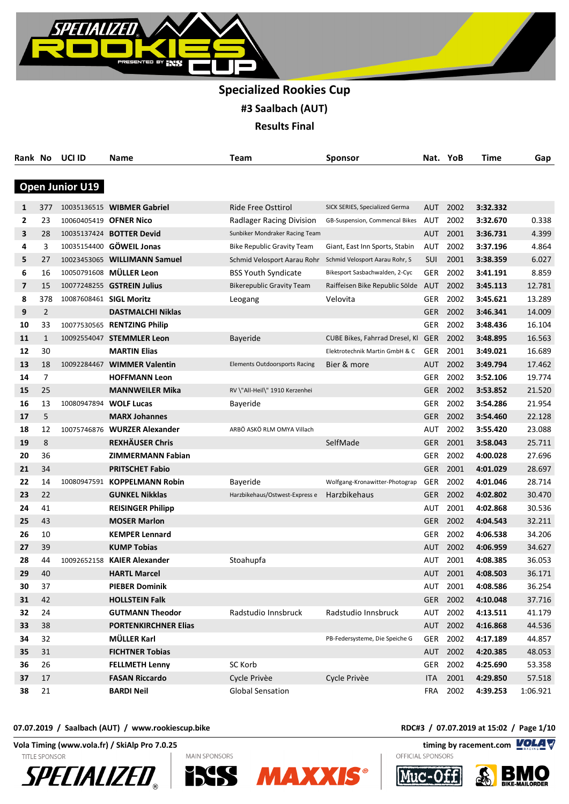

| Rank No |                | UCI ID                  | Name                              | Team                                 | Sponsor                            |            | Nat. YoB | Time     | Gap      |
|---------|----------------|-------------------------|-----------------------------------|--------------------------------------|------------------------------------|------------|----------|----------|----------|
|         |                |                         |                                   |                                      |                                    |            |          |          |          |
|         |                | <b>Open Junior U19</b>  |                                   |                                      |                                    |            |          |          |          |
| 1       | 377            |                         | 10035136515 WIBMER Gabriel        | <b>Ride Free Osttirol</b>            | SICK SERIES, Specialized Germa     | AUT        | 2002     | 3:32.332 |          |
| 2       | 23             | 10060405419 OFNER Nico  |                                   | Radlager Racing Division             | GB-Suspension, Commencal Bikes     | AUT        | 2002     | 3:32.670 | 0.338    |
| 3       | 28             |                         | 10035137424 <b>BOTTER Devid</b>   | Sunbiker Mondraker Racing Team       |                                    | <b>AUT</b> | 2001     | 3:36.731 | 4.399    |
| 4       | 3              |                         | 10035154400 GÖWEIL Jonas          | Bike Republic Gravity Team           | Giant, East Inn Sports, Stabin     | AUT        | 2002     | 3:37.196 | 4.864    |
| 5       | 27             |                         | 10023453065 WILLIMANN Samuel      | Schmid Velosport Aarau Rohr          | Schmid Velosport Aarau Rohr, S     | <b>SUI</b> | 2001     | 3:38.359 | 6.027    |
| 6       | 16             | 10050791608             | <b>MÜLLER Leon</b>                | <b>BSS Youth Syndicate</b>           | Bikesport Sasbachwalden, 2-Cyc     | GER        | 2002     | 3:41.191 | 8.859    |
| 7       | 15             |                         | 10077248255 <b>GSTREIN Julius</b> | <b>Bikerepublic Gravity Team</b>     | Raiffeisen Bike Republic Sölde AUT |            | 2002     | 3:45.113 | 12.781   |
| 8       | 378            | 10087608461 SIGL Moritz |                                   | Leogang                              | Velovita                           | GER        | 2002     | 3:45.621 | 13.289   |
| 9       | $\overline{2}$ |                         | <b>DASTMALCHI Niklas</b>          |                                      |                                    | <b>GER</b> | 2002     | 3:46.341 | 14.009   |
| 10      | 33             |                         | 10077530565 RENTZING Philip       |                                      |                                    | GER        | 2002     | 3:48.436 | 16.104   |
| 11      | $\mathbf{1}$   |                         | 10092554047 STEMMLER Leon         | Bayeride                             | CUBE Bikes, Fahrrad Dresel, Kl     | <b>GER</b> | 2002     | 3:48.895 | 16.563   |
| 12      | 30             |                         | <b>MARTIN Elias</b>               |                                      | Elektrotechnik Martin GmbH & C     | GER        | 2001     | 3:49.021 | 16.689   |
| 13      | 18             | 10092284467             | <b>WIMMER Valentin</b>            | <b>Elements Outdoorsports Racing</b> | Bier & more                        | <b>AUT</b> | 2002     | 3:49.794 | 17.462   |
| 14      | 7              |                         | <b>HOFFMANN Leon</b>              |                                      |                                    | <b>GER</b> | 2002     | 3:52.106 | 19.774   |
| 15      | 25             |                         | <b>MANNWEILER Mika</b>            | RV \"All-Heil\" 1910 Kerzenhei       |                                    | <b>GER</b> | 2002     | 3:53.852 | 21.520   |
| 16      | 13             | 10080947894 WOLF Lucas  |                                   | Bayeride                             |                                    | GER        | 2002     | 3:54.286 | 21.954   |
| 17      | 5              |                         | <b>MARX Johannes</b>              |                                      |                                    | <b>GER</b> | 2002     | 3:54.460 | 22.128   |
| 18      | 12             |                         | 10075746876 WURZER Alexander      | ARBÖ ASKÖ RLM OMYA Villach           |                                    | AUT        | 2002     | 3:55.420 | 23.088   |
| 19      | 8              |                         | <b>REXHÄUSER Chris</b>            |                                      | SelfMade                           | <b>GER</b> | 2001     | 3:58.043 | 25.711   |
| 20      | 36             |                         | <b>ZIMMERMANN Fabian</b>          |                                      |                                    | <b>GER</b> | 2002     | 4:00.028 | 27.696   |
| 21      | 34             |                         | <b>PRITSCHET Fabio</b>            |                                      |                                    | <b>GER</b> | 2001     | 4:01.029 | 28.697   |
| 22      | 14             | 10080947591             | <b>KOPPELMANN Robin</b>           | Bayeride                             | Wolfgang-Kronawitter-Photograp     | GER        | 2002     | 4:01.046 | 28.714   |
| 23      | 22             |                         | <b>GUNKEL Nikklas</b>             | Harzbikehaus/Ostwest-Express e       | Harzbikehaus                       | <b>GER</b> | 2002     | 4:02.802 | 30.470   |
| 24      | 41             |                         | <b>REISINGER Philipp</b>          |                                      |                                    | AUT        | 2001     | 4:02.868 | 30.536   |
| 25      | 43             |                         | <b>MOSER Marlon</b>               |                                      |                                    | <b>GER</b> | 2002     | 4:04.543 | 32.211   |
| 26      | 10             |                         | <b>KEMPER Lennard</b>             |                                      |                                    | GER        | 2002     | 4:06.538 | 34.206   |
| 27      | 39             |                         | <b>KUMP Tobias</b>                |                                      |                                    | <b>AUT</b> | 2002     | 4:06.959 | 34.627   |
| 28      | 44             | 10092652158             | <b>KAIER Alexander</b>            | Stoahupfa                            |                                    | AUT        | 2001     | 4:08.385 | 36.053   |
| 29      | 40             |                         | <b>HARTL Marcel</b>               |                                      |                                    | AUT        | 2001     | 4:08.503 | 36.171   |
| 30      | 37             |                         | <b>PIEBER Dominik</b>             |                                      |                                    | AUT        | 2001     | 4:08.586 | 36.254   |
| 31      | 42             |                         | <b>HOLLSTEIN Falk</b>             |                                      |                                    | <b>GER</b> | 2002     | 4:10.048 | 37.716   |
| 32      | 24             |                         | <b>GUTMANN Theodor</b>            | Radstudio Innsbruck                  | Radstudio Innsbruck                | AUT        | 2002     | 4:13.511 | 41.179   |
| 33      | 38             |                         | <b>PORTENKIRCHNER Elias</b>       |                                      |                                    | AUT        | 2002     | 4:16.868 | 44.536   |
| 34      | 32             |                         | MÜLLER Karl                       |                                      | PB-Federsysteme, Die Speiche G     | GER        | 2002     | 4:17.189 | 44.857   |
| 35      | 31             |                         | <b>FICHTNER Tobias</b>            |                                      |                                    |            | AUT 2002 | 4:20.385 | 48.053   |
| 36      | 26             |                         | <b>FELLMETH Lenny</b>             | SC Korb                              |                                    | GER        | 2002     | 4:25.690 | 53.358   |
| 37      | 17             |                         | <b>FASAN Riccardo</b>             | Cycle Privèe                         | Cycle Privèe                       | <b>ITA</b> | 2001     | 4:29.850 | 57.518   |
| 38      | 21             |                         | <b>BARDI Neil</b>                 | <b>Global Sensation</b>              |                                    | <b>FRA</b> | 2002     | 4:39.253 | 1:06.921 |

#### 07.07.2019 / Saalbach (AUT) / www.rookiescup.bike<br> **RDC#3** / 07.07.2019 at 15:02 / Page 1/10

**TITLE SPONSOR** 











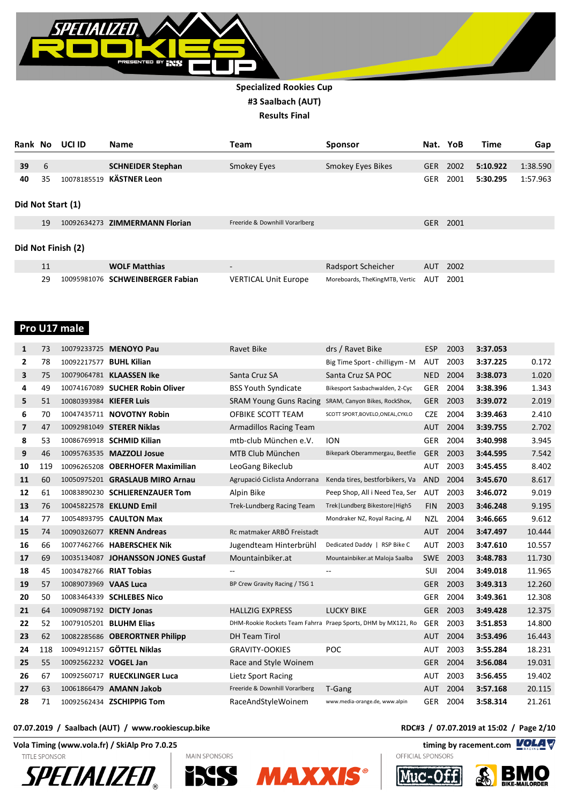

| Rank No            |                   | UCI ID      | <b>Name</b>                    | Team                           | <b>Sponsor</b>                 | Nat.       | YoB  | Time     | Gap      |  |
|--------------------|-------------------|-------------|--------------------------------|--------------------------------|--------------------------------|------------|------|----------|----------|--|
|                    |                   |             |                                |                                |                                |            |      |          |          |  |
| 39                 | 6                 |             | <b>SCHNEIDER Stephan</b>       | Smokey Eyes                    | Smokey Eyes Bikes              | <b>GER</b> | 2002 | 5:10.922 | 1:38.590 |  |
| 40                 | 35                |             | 10078185519 KÄSTNER Leon       |                                |                                | <b>GER</b> | 2001 | 5:30.295 | 1:57.963 |  |
|                    | Did Not Start (1) |             |                                |                                |                                |            |      |          |          |  |
|                    | 19                |             | 10092634273 ZIMMERMANN Florian | Freeride & Downhill Vorarlberg |                                | <b>GER</b> | 2001 |          |          |  |
| Did Not Finish (2) |                   |             |                                |                                |                                |            |      |          |          |  |
|                    | 11                |             | <b>WOLF Matthias</b>           | $\overline{\phantom{a}}$       | Radsport Scheicher             | <b>AUT</b> | 2002 |          |          |  |
|                    | 29                | 10095981076 | <b>SCHWEINBERGER Fabian</b>    | <b>VERTICAL Unit Europe</b>    | Moreboards, TheKingMTB, Vertic | AUT        | 2001 |          |          |  |

#### **Pro U17 male**

| 1  | 73  |                         | 10079233725 MENOYO Pau             | <b>Ravet Bike</b>                                             | drs / Ravet Bike                  | <b>ESP</b> | 2003 | 3:37.053 |        |
|----|-----|-------------------------|------------------------------------|---------------------------------------------------------------|-----------------------------------|------------|------|----------|--------|
| 2  | 78  | 10092217577 BUHL Kilian |                                    |                                                               | Big Time Sport - chilligym - M    | <b>AUT</b> | 2003 | 3:37.225 | 0.172  |
| 3  | 75  |                         | 10079064781 KLAASSEN Ike           | Santa Cruz SA                                                 | Santa Cruz SA POC                 | <b>NED</b> | 2004 | 3:38.073 | 1.020  |
| 4  | 49  |                         | 10074167089 SUCHER Robin Oliver    | <b>BSS Youth Syndicate</b>                                    | Bikesport Sasbachwalden, 2-Cyc    | <b>GER</b> | 2004 | 3:38.396 | 1.343  |
| 5  | 51  | 10080393984 KIEFER Luis |                                    | <b>SRAM Young Guns Racing</b>                                 | SRAM, Canyon Bikes, RockShox,     | <b>GER</b> | 2003 | 3:39.072 | 2.019  |
| 6  | 70  |                         | 10047435711 NOVOTNY Robin          | OFBIKE SCOTT TEAM                                             | SCOTT SPORT, BOVELO, ONEAL, CYKLO | <b>CZE</b> | 2004 | 3:39.463 | 2.410  |
| 7  | 47  |                         | 10092981049 STERER Niklas          | Armadillos Racing Team                                        |                                   | <b>AUT</b> | 2004 | 3:39.755 | 2.702  |
| 8  | 53  |                         | 10086769918 <b>SCHMID Kilian</b>   | mtb-club München e.V.                                         | <b>ION</b>                        | <b>GER</b> | 2004 | 3:40.998 | 3.945  |
| 9  | 46  |                         | 10095763535 MAZZOLI Josue          | MTB Club München                                              | Bikepark Oberammergau, Beetfie    | <b>GER</b> | 2003 | 3:44.595 | 7.542  |
| 10 | 119 |                         | 10096265208 OBERHOFER Maximilian   | LeoGang Bikeclub                                              |                                   | <b>AUT</b> | 2003 | 3:45.455 | 8.402  |
| 11 | 60  |                         | 10050975201 GRASLAUB MIRO Arnau    | Agrupació Ciclista Andorrana                                  | Kenda tires, bestforbikers, Va    | <b>AND</b> | 2004 | 3:45.670 | 8.617  |
| 12 | 61  |                         | 10083890230 SCHLIERENZAUER Tom     | Alpin Bike                                                    | Peep Shop, All i Need Tea, Ser    | <b>AUT</b> | 2003 | 3:46.072 | 9.019  |
| 13 | 76  |                         | 10045822578 EKLUND Emil            | <b>Trek-Lundberg Racing Team</b>                              | Trek   Lundberg Bikestore   High5 | <b>FIN</b> | 2003 | 3:46.248 | 9.195  |
| 14 | 77  |                         | 10054893795 CAULTON Max            |                                                               | Mondraker NZ, Royal Racing, Al    | <b>NZL</b> | 2004 | 3:46.665 | 9.612  |
| 15 | 74  |                         | 10090326077 KRENN Andreas          | Rc matmaker ARBÖ Freistadt                                    |                                   | <b>AUT</b> | 2004 | 3:47.497 | 10.444 |
| 16 | 66  |                         | 10077462766 HABERSCHEK Nik         | Jugendteam Hinterbrühl                                        | Dedicated Daddy   RSP Bike C      | <b>AUT</b> | 2003 | 3:47.610 | 10.557 |
| 17 | 69  |                         | 10035134087 JOHANSSON JONES Gustaf | Mountainbiker.at                                              | Mountainbiker.at Maloja Saalba    | <b>SWE</b> | 2003 | 3:48.783 | 11.730 |
| 18 | 45  | 10034782766 RIAT Tobias |                                    | $\overline{\phantom{m}}$                                      | $\overline{\phantom{a}}$          | <b>SUI</b> | 2004 | 3:49.018 | 11.965 |
| 19 | 57  | 10089073969 VAAS Luca   |                                    | BP Crew Gravity Racing / TSG 1                                |                                   | <b>GER</b> | 2003 | 3:49.313 | 12.260 |
| 20 | 50  |                         | 10083464339 SCHLEBES Nico          |                                                               |                                   | <b>GER</b> | 2004 | 3:49.361 | 12.308 |
| 21 | 64  |                         | 10090987192 DICTY Jonas            | <b>HALLZIG EXPRESS</b>                                        | <b>LUCKY BIKE</b>                 | <b>GER</b> | 2003 | 3:49.428 | 12.375 |
| 22 | 52  |                         | 10079105201 BLUHM Elias            | DHM-Rookie Rockets Team Fahrra Praep Sports, DHM by MX121, Ro |                                   | <b>GER</b> | 2003 | 3:51.853 | 14.800 |
| 23 | 62  |                         | 10082285686 OBERORTNER Philipp     | <b>DH Team Tirol</b>                                          |                                   | <b>AUT</b> | 2004 | 3:53.496 | 16.443 |
| 24 | 118 |                         | 10094912157 GÖTTEL Niklas          | <b>GRAVITY-OOKIES</b>                                         | <b>POC</b>                        | AUT        | 2003 | 3:55.284 | 18.231 |
| 25 | 55  | 10092562232 VOGEL Jan   |                                    | Race and Style Woinem                                         |                                   | <b>GER</b> | 2004 | 3:56.084 | 19.031 |
| 26 | 67  |                         | 10092560717 RUECKLINGER Luca       | Lietz Sport Racing                                            |                                   | <b>AUT</b> | 2003 | 3:56.455 | 19.402 |
| 27 | 63  |                         | 10061866479 AMANN Jakob            | Freeride & Downhill Vorarlberg                                | T-Gang                            | <b>AUT</b> | 2004 | 3:57.168 | 20.115 |
| 28 | 71  |                         | 10092562434 ZSCHIPPIG Tom          | RaceAndStyleWoinem                                            | www.media-orange.de, www.alpin    | <b>GER</b> | 2004 | 3:58.314 | 21.261 |

#### **07.07.2019 / Saalbach (AUT) / www.rookiescup.bike RDC#3 / 07.07.2019 at 15:02 / Page 2/10**

**Vola Timing (www.vola.fr) / SkiAlp Pro 7.0.25 timing by racement.com** 

**TITLE SPONSOR** 









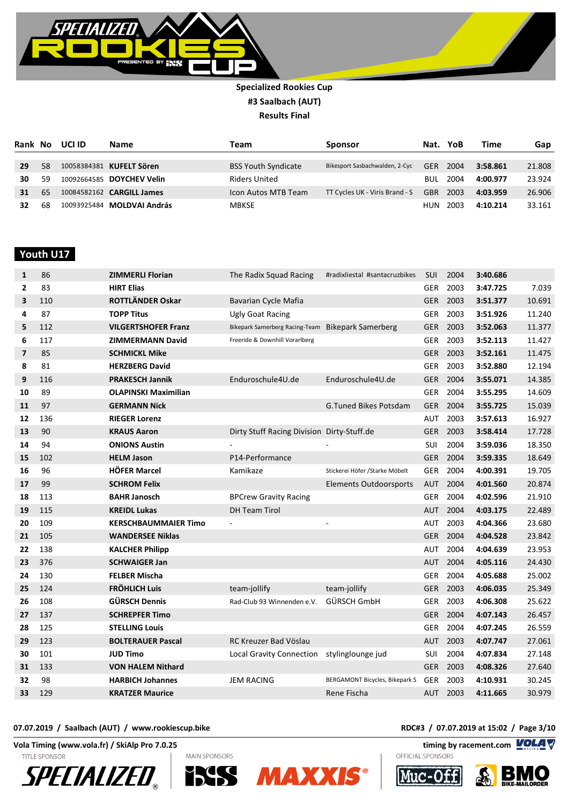

| Rank No |    | UCI ID | Name                             | Team                       | <b>Sponsor</b>                 | Nat.       | YoB  | Time     | Gap    |
|---------|----|--------|----------------------------------|----------------------------|--------------------------------|------------|------|----------|--------|
|         |    |        |                                  |                            |                                |            |      |          |        |
| 29      | 58 |        | 10058384381 KUFELT Sören         | <b>BSS Youth Syndicate</b> | Bikesport Sasbachwalden, 2-Cyc | <b>GER</b> | 2004 | 3:58.861 | 21.808 |
| 30      | 59 |        | 10092664585 DOYCHEV Velin        | <b>Riders United</b>       |                                | BUL        | 2004 | 4:00.977 | 23.924 |
| 31      | 65 |        | 10084582162 <b>CARGILL James</b> | Icon Autos MTB Team        | TT Cycles UK - Viris Brand - S | <b>GBR</b> | 2003 | 4:03.959 | 26.906 |
| 32      | 68 |        | 10093925484 MOLDVAI András       | <b>MBKSE</b>               |                                | HUN        | 2003 | 4:10.214 | 33.161 |

 **Youth U17** 

| 1              | 86  | <b>ZIMMERLI Florian</b>     | The Radix Squad Racing                            | #radixliestal #santacruzbikes   | <b>SUI</b> | 2004     | 3:40.686 |        |
|----------------|-----|-----------------------------|---------------------------------------------------|---------------------------------|------------|----------|----------|--------|
| $\mathbf{2}$   | 83  | <b>HIRT Elias</b>           |                                                   |                                 | <b>GER</b> | 2003     | 3:47.725 | 7.039  |
| 3              | 110 | ROTTLÄNDER Oskar            | Bavarian Cycle Mafia                              |                                 | <b>GER</b> | 2003     | 3:51.377 | 10.691 |
| 4              | 87  | <b>TOPP Titus</b>           | Ugly Goat Racing                                  |                                 |            | GER 2003 | 3:51.926 | 11.240 |
| 5              | 112 | <b>VILGERTSHOFER Franz</b>  | Bikepark Samerberg Racing-Team Bikepark Samerberg |                                 | <b>GER</b> | 2003     | 3:52.063 | 11.377 |
| 6              | 117 | <b>ZIMMERMANN David</b>     | Freeride & Downhill Vorarlberg                    |                                 | <b>GER</b> | 2003     | 3:52.113 | 11.427 |
| $\overline{7}$ | 85  | <b>SCHMICKL Mike</b>        |                                                   |                                 | <b>GER</b> | 2003     | 3:52.161 | 11.475 |
| 8              | 81  | <b>HERZBERG David</b>       |                                                   |                                 | <b>GER</b> | 2003     | 3:52.880 | 12.194 |
| 9              | 116 | <b>PRAKESCH Jannik</b>      | Enduroschule4U.de                                 | Enduroschule4U.de               | <b>GER</b> | 2004     | 3:55.071 | 14.385 |
| 10             | 89  | <b>OLAPINSKI Maximilian</b> |                                                   |                                 | <b>GER</b> | 2004     | 3:55.295 | 14.609 |
| 11             | 97  | <b>GERMANN Nick</b>         |                                                   | <b>G.Tuned Bikes Potsdam</b>    | <b>GER</b> | 2004     | 3:55.725 | 15.039 |
| 12             | 136 | <b>RIEGER Lorenz</b>        |                                                   |                                 | AUT        | 2003     | 3:57.613 | 16.927 |
| 13             | 90  | <b>KRAUS Aaron</b>          | Dirty Stuff Racing Division Dirty-Stuff.de        |                                 | <b>GER</b> | 2003     | 3:58.414 | 17.728 |
| 14             | 94  | <b>ONIONS Austin</b>        |                                                   |                                 | SUI        | 2004     | 3:59.036 | 18.350 |
| 15             | 102 | <b>HELM Jason</b>           | P14-Performance                                   |                                 | <b>GER</b> | 2004     | 3:59.335 | 18.649 |
| 16             | 96  | <b>HÖFER Marcel</b>         | Kamikaze                                          | Stickerei Höfer / Starke Möbelt | <b>GER</b> | 2004     | 4:00.391 | 19.705 |
| 17             | 99  | <b>SCHROM Felix</b>         |                                                   | <b>Elements Outdoorsports</b>   | <b>AUT</b> | 2004     | 4:01.560 | 20.874 |
| 18             | 113 | <b>BAHR Janosch</b>         | <b>BPCrew Gravity Racing</b>                      |                                 | <b>GER</b> | 2004     | 4:02.596 | 21.910 |
| 19             | 115 | <b>KREIDL Lukas</b>         | <b>DH Team Tirol</b>                              |                                 | <b>AUT</b> | 2004     | 4:03.175 | 22.489 |
| 20             | 109 | <b>KERSCHBAUMMAIER Timo</b> | $\bar{a}$                                         |                                 | <b>AUT</b> | 2003     | 4:04.366 | 23.680 |
| 21             | 105 | <b>WANDERSEE Niklas</b>     |                                                   |                                 | <b>GER</b> | 2004     | 4:04.528 | 23.842 |
| 22             | 138 | <b>KALCHER Philipp</b>      |                                                   |                                 | <b>AUT</b> | 2004     | 4:04.639 | 23.953 |
| 23             | 376 | <b>SCHWAIGER Jan</b>        |                                                   |                                 | <b>AUT</b> | 2004     | 4:05.116 | 24.430 |
| 24             | 130 | <b>FELBER Mischa</b>        |                                                   |                                 | <b>GER</b> | 2004     | 4:05.688 | 25.002 |
| 25             | 124 | <b>FRÖHLICH Luis</b>        | team-jollify                                      | team-jollify                    | <b>GER</b> | 2003     | 4:06.035 | 25.349 |
| 26             | 108 | <b>GÜRSCH Dennis</b>        | Rad-Club 93 Winnenden e.V.                        | GÜRSCH GmbH                     | <b>GER</b> | 2003     | 4:06.308 | 25.622 |
| 27             | 137 | <b>SCHREPFER Timo</b>       |                                                   |                                 |            | GER 2004 | 4:07.143 | 26.457 |
| 28             | 125 | <b>STELLING Louis</b>       |                                                   |                                 | <b>GER</b> | 2004     | 4:07.245 | 26.559 |
| 29             | 123 | <b>BOLTERAUER Pascal</b>    | RC Kreuzer Bad Vöslau                             |                                 | <b>AUT</b> | 2003     | 4:07.747 | 27.061 |
| 30             | 101 | <b>JUD Timo</b>             | Local Gravity Connection stylinglounge jud        |                                 | SUI        | 2004     | 4:07.834 | 27.148 |
| 31             | 133 | <b>VON HALEM Nithard</b>    |                                                   |                                 |            | GER 2003 | 4:08.326 | 27.640 |
| 32             | 98  | <b>HARBICH Johannes</b>     | <b>JEM RACING</b>                                 | BERGAMONT Bicycles, Bikepark S  | GER        | 2003     | 4:10.931 | 30.245 |
| 33             | 129 | <b>KRATZER Maurice</b>      |                                                   | Rene Fischa                     |            | AUT 2003 | 4:11.665 | 30.979 |

**Vola Timing (www.vola.fr) / SkiAlp Pro 7.0.25 timing by racement.com** 

**TITLE SPONSOR** 











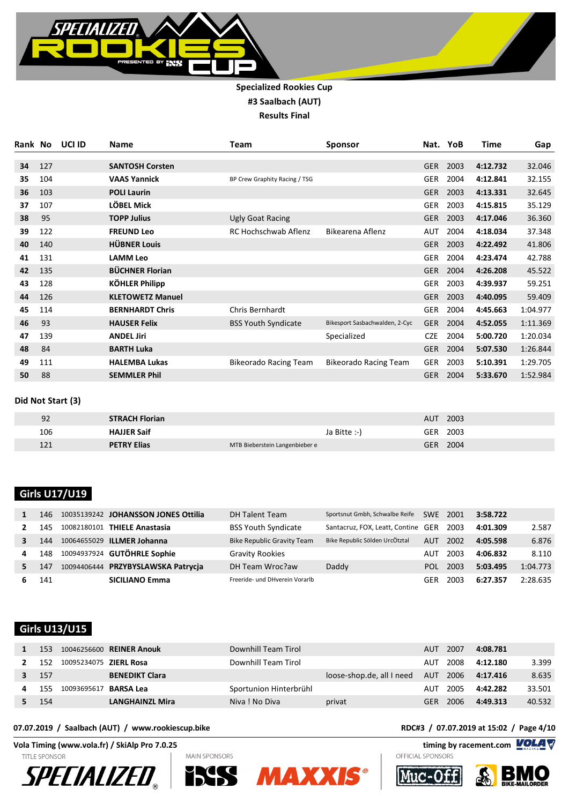

| Rank | No  | UCI ID | <b>Name</b>             | Team                          | <b>Sponsor</b>                 |            | Nat. YoB | <b>Time</b> | Gap      |
|------|-----|--------|-------------------------|-------------------------------|--------------------------------|------------|----------|-------------|----------|
| 34   | 127 |        | <b>SANTOSH Corsten</b>  |                               |                                | <b>GER</b> | 2003     | 4:12.732    | 32.046   |
| 35   | 104 |        | <b>VAAS Yannick</b>     | BP Crew Graphity Racing / TSG |                                | <b>GER</b> | 2004     | 4:12.841    | 32.155   |
| 36   | 103 |        | <b>POLI Laurin</b>      |                               |                                | <b>GER</b> | 2003     | 4:13.331    | 32.645   |
| 37   | 107 |        | LÖBEL Mick              |                               |                                | <b>GER</b> | 2003     | 4:15.815    | 35.129   |
| 38   | 95  |        | <b>TOPP Julius</b>      | Ugly Goat Racing              |                                | <b>GER</b> | 2003     | 4:17.046    | 36.360   |
| 39   | 122 |        | <b>FREUND Leo</b>       | RC Hochschwab Aflenz          | Bikearena Aflenz               | AUT        | 2004     | 4:18.034    | 37.348   |
| 40   | 140 |        | <b>HÜBNER Louis</b>     |                               |                                | <b>GER</b> | 2003     | 4:22.492    | 41.806   |
| 41   | 131 |        | <b>LAMM Leo</b>         |                               |                                | <b>GER</b> | 2004     | 4:23.474    | 42.788   |
| 42   | 135 |        | <b>BÜCHNER Florian</b>  |                               |                                | <b>GER</b> | 2004     | 4:26.208    | 45.522   |
| 43   | 128 |        | <b>KÖHLER Philipp</b>   |                               |                                | <b>GER</b> | 2003     | 4:39.937    | 59.251   |
| 44   | 126 |        | <b>KLETOWETZ Manuel</b> |                               |                                | <b>GER</b> | 2003     | 4:40.095    | 59.409   |
| 45   | 114 |        | <b>BERNHARDT Chris</b>  | Chris Bernhardt               |                                | <b>GER</b> | 2004     | 4:45.663    | 1:04.977 |
| 46   | 93  |        | <b>HAUSER Felix</b>     | <b>BSS Youth Syndicate</b>    | Bikesport Sasbachwalden, 2-Cyc | <b>GER</b> | 2004     | 4:52.055    | 1:11.369 |
| 47   | 139 |        | <b>ANDEL Jiri</b>       |                               | Specialized                    | <b>CZE</b> | 2004     | 5:00.720    | 1:20.034 |
| 48   | 84  |        | <b>BARTH Luka</b>       |                               |                                | <b>GER</b> | 2004     | 5:07.530    | 1:26.844 |
| 49   | 111 |        | <b>HALEMBA Lukas</b>    | <b>Bikeorado Racing Team</b>  | <b>Bikeorado Racing Team</b>   | <b>GER</b> | 2003     | 5:10.391    | 1:29.705 |
| 50   | 88  |        | <b>SEMMLER Phil</b>     |                               |                                | <b>GER</b> | 2004     | 5:33.670    | 1:52.984 |

#### **Did Not Start (3)**

| 92  | <b>STRACH Florian</b> |                                | 2003<br>AUT        |
|-----|-----------------------|--------------------------------|--------------------|
| 106 | <b>HAJJER Saif</b>    | Ja Bitte :-)                   | 2003<br><b>GER</b> |
| 121 | <b>PETRY Elias</b>    | MTB Bieberstein Langenbieber e | 2004<br><b>GER</b> |

# **Girls U17/U19**

|    | 146 |             | 10035139242 JOHANSSON JONES Ottilia | <b>DH Talent Team</b>             | Sportsnut Gmbh, Schwalbe Reife     | <b>SWE</b> | 2001 | 3:58.722 |          |
|----|-----|-------------|-------------------------------------|-----------------------------------|------------------------------------|------------|------|----------|----------|
|    | 145 | 10082180101 | <b>THIELE Anastasia</b>             | <b>BSS Youth Syndicate</b>        | Santacruz, FOX, Leatt, Contine GER |            | 2003 | 4:01.309 | 2.587    |
|    | 144 |             | 10064655029 ILLMER Johanna          | <b>Bike Republic Gravity Team</b> | Bike Republic Sölden UrcÖtztal     | <b>AUT</b> | 2002 | 4:05.598 | 6.876    |
| 4  | 148 |             | 10094937924 GUTÖHRLE Sophie         | <b>Gravity Rookies</b>            |                                    | AUT        | 2003 | 4:06.832 | 8.110    |
| 5. | 147 |             | 10094406444 PRZYBYSLAWSKA Patrycja  | DH Team Wroc?aw                   | Daddy                              | POL        | 2003 | 5:03.495 | 1:04.773 |
|    | 141 |             | <b>SICILIANO Emma</b>               | Freeride- und DHverein Vorarlb    |                                    | GER        | 2003 | 6:27.357 | 2:28.635 |

## **Girls U13/U15**

| 153  |                               | 10046256600 REINER Anouk | Downhill Team Tirol    |                           | AUT  | 2007     | 4:08.781 |        |
|------|-------------------------------|--------------------------|------------------------|---------------------------|------|----------|----------|--------|
| 152  | 10095234075 <b>ZIERL Rosa</b> |                          | Downhill Team Tirol    |                           | AUT  | 2008     | 4:12.180 | 3.399  |
| 157  |                               | <b>BENEDIKT Clara</b>    |                        | loose-shop.de, all I need |      | AUT 2006 | 4:17.416 | 8.635  |
| 155  | 10093695617                   | <b>BARSA Lea</b>         | Sportunion Hinterbrühl |                           | AUT  | 2005     | 4:42.282 | 33.501 |
| -154 |                               | <b>LANGHAINZL Mira</b>   | Niva! No Diva          | privat                    | GFR. | 2006     | 4:49.313 | 40.532 |

**Vola Timing (www.vola.fr) / SkiAlp Pro 7.0.25 timing by racement.com** 

**TITLE SPONSOR** 











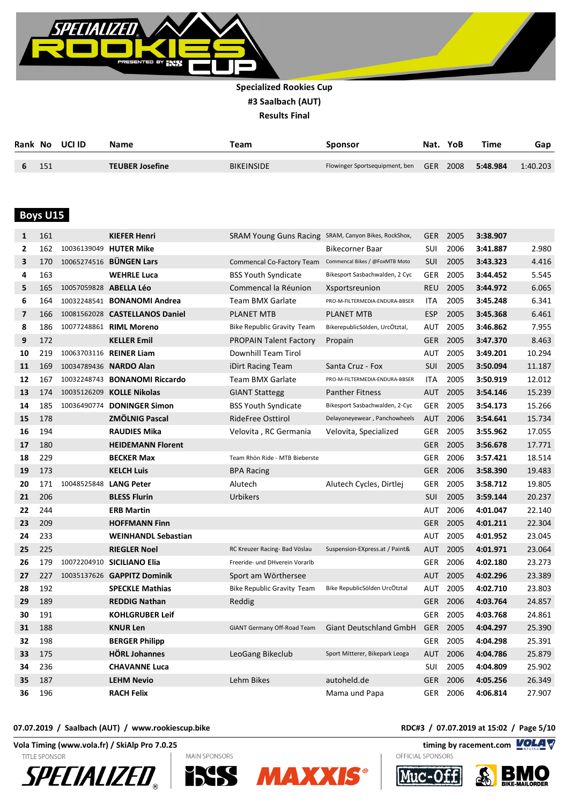

|     | Rank No UCLID | <b>Name</b>            | Team              | Sponsor                                 | Nat. YoB | Time     | Gap      |
|-----|---------------|------------------------|-------------------|-----------------------------------------|----------|----------|----------|
| 151 |               | <b>TEUBER Josefine</b> | <b>BIKEINSIDE</b> | Flowinger Sportsequipment, ben GER 2008 |          | 5:48.984 | 1:40.203 |

## **Boys U15**

| 1                       | 161 |                        | <b>KIEFER Henri</b>                  | SRAM Young Guns Racing SRAM, Canyon Bikes, RockShox, |                                | <b>GER</b> | 2005     | 3:38.907 |        |
|-------------------------|-----|------------------------|--------------------------------------|------------------------------------------------------|--------------------------------|------------|----------|----------|--------|
| $\mathbf{2}$            | 162 |                        | 10036139049 HUTER Mike               |                                                      | Bikecorner Baar                | SUI        | 2006     | 3:41.887 | 2.980  |
| 3                       | 170 |                        | 10065274516 BÜNGEN Lars              | Commencal Co-Factory Team                            | Commencal Bikes / @FoxMTB Moto | <b>SUI</b> | 2005     | 3:43.323 | 4.416  |
| 4                       | 163 |                        | <b>WEHRLE Luca</b>                   | <b>BSS Youth Syndicate</b>                           | Bikesport Sasbachwalden, 2 Cyc | <b>GER</b> | 2005     | 3:44.452 | 5.545  |
| 5                       | 165 | 10057059828 ABELLA Léo |                                      | Commencal la Réunion                                 | Xsportsreunion                 | <b>REU</b> | 2005     | 3:44.972 | 6.065  |
| 6                       | 164 |                        | 10032248541 <b>BONANOMI Andrea</b>   | Team BMX Garlate                                     | PRO-M-FILTERMEDIA-ENDURA-BBSER | <b>ITA</b> | 2005     | 3:45.248 | 6.341  |
| $\overline{\mathbf{z}}$ | 166 |                        | 10081562028 CASTELLANOS Daniel       | <b>PLANET MTB</b>                                    | PLANET MTB                     | <b>ESP</b> | 2005     | 3:45.368 | 6.461  |
| 8                       | 186 |                        | 10077248861 RIML Moreno              | <b>Bike Republic Gravity Team</b>                    | BikerepublicSölden, UrcÖtztal, | AUT        | 2005     | 3:46.862 | 7.955  |
| 9                       | 172 |                        | <b>KELLER Emil</b>                   | <b>PROPAIN Talent Factory</b>                        | Propain                        | <b>GER</b> | 2005     | 3:47.370 | 8.463  |
| 10                      | 219 |                        | 10063703116 REINER Liam              | Downhill Team Tirol                                  |                                | AUT        | 2005     | 3:49.201 | 10.294 |
| 11                      | 169 |                        | 10034789436 NARDO Alan               | iDirt Racing Team                                    | Santa Cruz - Fox               | <b>SUI</b> | 2005     | 3:50.094 | 11.187 |
| 12                      | 167 |                        | 10032248743 <b>BONANOMI Riccardo</b> | <b>Team BMX Garlate</b>                              | PRO-M-FILTERMEDIA-ENDURA-BBSER | <b>ITA</b> | 2005     | 3:50.919 | 12.012 |
| 13                      | 174 |                        | 10035126209 KOLLE Nikolas            | <b>GIANT Stattegg</b>                                | <b>Panther Fitness</b>         | <b>AUT</b> | 2005     | 3:54.146 | 15.239 |
| 14                      | 185 |                        | 10036490774 DONINGER Simon           | <b>BSS Youth Syndicate</b>                           | Bikesport Sasbachwalden, 2-Cyc | <b>GER</b> | 2005     | 3:54.173 | 15.266 |
| 15                      | 178 |                        | <b>ZMÖLNIG Pascal</b>                | RideFree Osttirol                                    | Delayoneyewear, Panchowheels   | <b>AUT</b> | 2006     | 3:54.641 | 15.734 |
| 16                      | 194 |                        | <b>RAUDIES Mika</b>                  | Velovita, RC Germania                                | Velovita, Specialized          | <b>GER</b> | 2005     | 3:55.962 | 17.055 |
| 17                      | 180 |                        | <b>HEIDEMANN Florent</b>             |                                                      |                                | <b>GER</b> | 2005     | 3:56.678 | 17.771 |
| 18                      | 229 |                        | <b>BECKER Max</b>                    | Team Rhön Ride - MTB Bieberste                       |                                | <b>GER</b> | 2006     | 3:57.421 | 18.514 |
| 19                      | 173 |                        | <b>KELCH Luis</b>                    | <b>BPA Racing</b>                                    |                                | <b>GER</b> | 2006     | 3:58.390 | 19.483 |
| 20                      | 171 | 10048525848            | <b>LANG Peter</b>                    | Alutech                                              | Alutech Cycles, Dirtlej        | <b>GER</b> | 2005     | 3:58.712 | 19.805 |
| 21                      | 206 |                        | <b>BLESS Flurin</b>                  | Urbikers                                             |                                | <b>SUI</b> | 2005     | 3:59.144 | 20.237 |
| 22                      | 244 |                        | <b>ERB Martin</b>                    |                                                      |                                | AUT        | 2006     | 4:01.047 | 22.140 |
| 23                      | 209 |                        | <b>HOFFMANN Finn</b>                 |                                                      |                                | <b>GER</b> | 2005     | 4:01.211 | 22.304 |
| 24                      | 233 |                        | <b>WEINHANDL Sebastian</b>           |                                                      |                                | AUT        | 2005     | 4:01.952 | 23.045 |
| 25                      | 225 |                        | <b>RIEGLER Noel</b>                  | RC Kreuzer Racing- Bad Vöslau                        | Suspension-EXpress.at / Paint& | <b>AUT</b> | 2005     | 4:01.971 | 23.064 |
| 26                      | 179 |                        | 10072204910 SICILIANO Elia           | Freeride- und DHverein Vorarlb                       |                                | <b>GER</b> | 2006     | 4:02.180 | 23.273 |
| 27                      | 227 |                        | 10035137626 GAPPITZ Dominik          | Sport am Wörthersee                                  |                                | <b>AUT</b> | 2005     | 4:02.296 | 23.389 |
| 28                      | 192 |                        | <b>SPECKLE Mathias</b>               | <b>Bike Republic Gravity Team</b>                    | Bike RepublicSölden UrcÖtztal  | AUT        | 2005     | 4:02.710 | 23.803 |
| 29                      | 189 |                        | <b>REDDIG Nathan</b>                 | Reddig                                               |                                |            | GER 2006 | 4:03.764 | 24.857 |
| 30                      | 191 |                        | <b>KOHLGRUBER Leif</b>               |                                                      |                                | <b>GER</b> | 2005     | 4:03.768 | 24.861 |
| 31                      | 188 |                        | <b>KNUR Len</b>                      | GIANT Germany Off-Road Team                          | <b>Giant Deutschland GmbH</b>  | <b>GER</b> | 2005     | 4:04.297 | 25.390 |
| 32                      | 198 |                        | <b>BERGER Philipp</b>                |                                                      |                                | GER        | 2005     | 4:04.298 | 25.391 |
| 33                      | 175 |                        | <b>HÖRL Johannes</b>                 | LeoGang Bikeclub                                     | Sport Mitterer, Bikepark Leoga | <b>AUT</b> | 2006     | 4:04.786 | 25.879 |
| 34                      | 236 |                        | <b>CHAVANNE Luca</b>                 |                                                      |                                | SUI        | 2005     | 4:04.809 | 25.902 |
| 35                      | 187 |                        | <b>LEHM Nevio</b>                    | Lehm Bikes                                           | autoheld.de                    | <b>GER</b> | 2006     | 4:05.256 | 26.349 |
| 36                      | 196 |                        | <b>RACH Felix</b>                    |                                                      | Mama und Papa                  | <b>GER</b> | 2006     | 4:06.814 | 27.907 |

#### **07.07.2019 / Saalbach (AUT) / www.rookiescup.bike RDC#3 / 07.07.2019 at 15:02 / Page 5/10**

**Vola Timing (www.vola.fr) / SkiAlp Pro 7.0.25 timing by racement.com** 











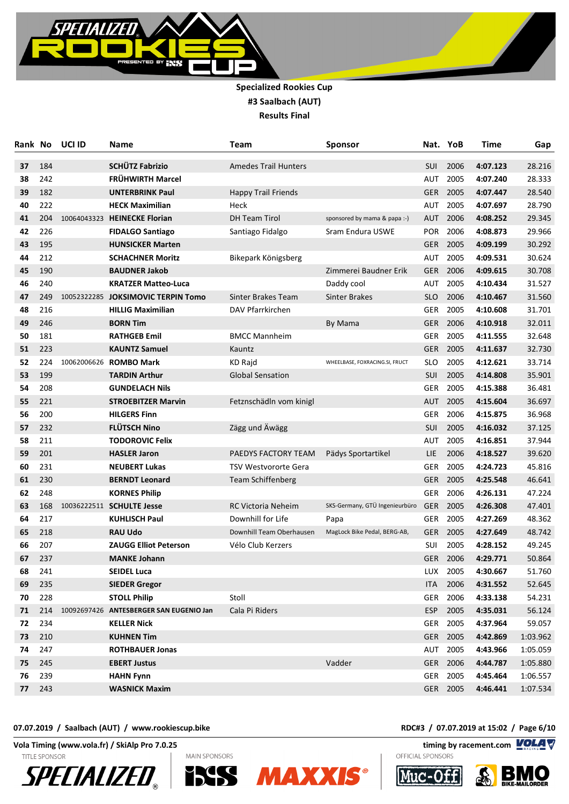

| Rank | No  | UCI ID      | Name                                    | Team                        | Sponsor                        |            | Nat. YoB | Time     | Gap      |
|------|-----|-------------|-----------------------------------------|-----------------------------|--------------------------------|------------|----------|----------|----------|
| 37   | 184 |             | <b>SCHÜTZ Fabrizio</b>                  | <b>Amedes Trail Hunters</b> |                                | SUI        | 2006     | 4:07.123 | 28.216   |
| 38   | 242 |             | FRÜHWIRTH Marcel                        |                             |                                | AUT        | 2005     | 4:07.240 | 28.333   |
| 39   | 182 |             | <b>UNTERBRINK Paul</b>                  | <b>Happy Trail Friends</b>  |                                | <b>GER</b> | 2005     | 4:07.447 | 28.540   |
| 40   | 222 |             | <b>HECK Maximilian</b>                  | Heck                        |                                | <b>AUT</b> | 2005     | 4:07.697 | 28.790   |
| 41   | 204 |             | 10064043323 HEINECKE Florian            | <b>DH Team Tirol</b>        | sponsored by mama & papa :-)   | <b>AUT</b> | 2006     | 4:08.252 | 29.345   |
| 42   | 226 |             | <b>FIDALGO Santiago</b>                 | Santiago Fidalgo            | Sram Endura USWE               | <b>POR</b> | 2006     | 4:08.873 | 29.966   |
| 43   | 195 |             | <b>HUNSICKER Marten</b>                 |                             |                                | <b>GER</b> | 2005     | 4:09.199 | 30.292   |
| 44   | 212 |             | <b>SCHACHNER Moritz</b>                 | Bikepark Königsberg         |                                | <b>AUT</b> | 2005     | 4:09.531 | 30.624   |
| 45   | 190 |             | <b>BAUDNER Jakob</b>                    |                             | Zimmerei Baudner Erik          | <b>GER</b> | 2006     | 4:09.615 | 30.708   |
| 46   | 240 |             | <b>KRATZER Matteo-Luca</b>              |                             | Daddy cool                     | AUT        | 2005     | 4:10.434 | 31.527   |
| 47   | 249 | 10052322285 | <b>JOKSIMOVIC TERPIN Tomo</b>           | <b>Sinter Brakes Team</b>   | <b>Sinter Brakes</b>           | <b>SLO</b> | 2006     | 4:10.467 | 31.560   |
| 48   | 216 |             | <b>HILLIG Maximilian</b>                | DAV Pfarrkirchen            |                                | GER        | 2005     | 4:10.608 | 31.701   |
| 49   | 246 |             | <b>BORN Tim</b>                         |                             | By Mama                        | <b>GER</b> | 2006     | 4:10.918 | 32.011   |
| 50   | 181 |             | <b>RATHGEB Emil</b>                     | <b>BMCC Mannheim</b>        |                                | GER        | 2005     | 4:11.555 | 32.648   |
| 51   | 223 |             | <b>KAUNTZ Samuel</b>                    | Kauntz                      |                                | GER        | 2005     | 4:11.637 | 32.730   |
| 52   | 224 | 10062006626 | <b>ROMBO Mark</b>                       | <b>KD Rajd</b>              | WHEELBASE, FOXRACING.SI, FRUCT | SLO        | 2005     | 4:12.621 | 33.714   |
| 53   | 199 |             | <b>TARDIN Arthur</b>                    | <b>Global Sensation</b>     |                                | <b>SUI</b> | 2005     | 4:14.808 | 35.901   |
| 54   | 208 |             | <b>GUNDELACH Nils</b>                   |                             |                                | <b>GER</b> | 2005     | 4:15.388 | 36.481   |
| 55   | 221 |             | <b>STROEBITZER Marvin</b>               | Fetznschädln vom kinigl     |                                | <b>AUT</b> | 2005     | 4:15.604 | 36.697   |
| 56   | 200 |             | <b>HILGERS Finn</b>                     |                             |                                | GER        | 2006     | 4:15.875 | 36.968   |
| 57   | 232 |             | <b>FLÜTSCH Nino</b>                     | Zägg und Äwägg              |                                | <b>SUI</b> | 2005     | 4:16.032 | 37.125   |
| 58   | 211 |             | <b>TODOROVIC Felix</b>                  |                             |                                | AUT        | 2005     | 4:16.851 | 37.944   |
| 59   | 201 |             | <b>HASLER Jaron</b>                     | PAEDYS FACTORY TEAM         | Pädys Sportartikel             | <b>LIE</b> | 2006     | 4:18.527 | 39.620   |
| 60   | 231 |             | <b>NEUBERT Lukas</b>                    | <b>TSV Westvororte Gera</b> |                                | <b>GER</b> | 2005     | 4:24.723 | 45.816   |
| 61   | 230 |             | <b>BERNDT Leonard</b>                   | <b>Team Schiffenberg</b>    |                                | <b>GER</b> | 2005     | 4:25.548 | 46.641   |
| 62   | 248 |             | <b>KORNES Philip</b>                    |                             |                                | <b>GER</b> | 2006     | 4:26.131 | 47.224   |
| 63   | 168 |             | 10036222511 SCHULTE Jesse               | RC Victoria Neheim          | SKS-Germany, GTÜ Ingenieurbüro | <b>GER</b> | 2005     | 4:26.308 | 47.401   |
| 64   | 217 |             | KUHLISCH Paul                           | Downhill for Life           | Papa                           | GER        | 2005     | 4:27.269 | 48.362   |
| 65   | 218 |             | <b>RAU Udo</b>                          | Downhill Team Oberhausen    | MagLock Bike Pedal, BERG-AB,   | <b>GER</b> | 2005     | 4:27.649 | 48.742   |
| 66   | 207 |             | <b>ZAUGG Elliot Peterson</b>            | Vélo Club Kerzers           |                                | SUI        | 2005     | 4:28.152 | 49.245   |
| 67   | 237 |             | <b>MANKE Johann</b>                     |                             |                                | <b>GER</b> | 2006     | 4:29.771 | 50.864   |
| 68   | 241 |             | <b>SEIDEL Luca</b>                      |                             |                                | LUX        | 2005     | 4:30.667 | 51.760   |
| 69   | 235 |             | <b>SIEDER Gregor</b>                    |                             |                                | <b>ITA</b> | 2006     | 4:31.552 | 52.645   |
| 70   | 228 |             | <b>STOLL Philip</b>                     | Stoll                       |                                | <b>GER</b> | 2006     | 4:33.138 | 54.231   |
| 71   | 214 |             | 10092697426 ANTESBERGER SAN EUGENIO Jan | Cala Pi Riders              |                                | <b>ESP</b> | 2005     | 4:35.031 | 56.124   |
| 72   | 234 |             | <b>KELLER Nick</b>                      |                             |                                | GER        | 2005     | 4:37.964 | 59.057   |
| 73   | 210 |             | <b>KUHNEN Tim</b>                       |                             |                                | <b>GER</b> | 2005     | 4:42.869 | 1:03.962 |
| 74   | 247 |             | <b>ROTHBAUER Jonas</b>                  |                             |                                | AUT        | 2005     | 4:43.966 | 1:05.059 |
| 75   | 245 |             | <b>EBERT Justus</b>                     |                             | Vadder                         | <b>GER</b> | 2006     | 4:44.787 | 1:05.880 |
| 76   | 239 |             | <b>HAHN Fynn</b>                        |                             |                                | <b>GER</b> | 2005     | 4:45.464 | 1:06.557 |
| 77   | 243 |             | <b>WASNICK Maxim</b>                    |                             |                                |            | GER 2005 | 4:46.441 | 1:07.534 |

**07.07.2019 / Saalbach (AUT) / www.rookiescup.bike RDC#3 / 07.07.2019 at 15:02 / Page 6/10**

**Vola Timing (www.vola.fr) / SkiAlp Pro 7.0.25 timing by racement.com VOLAT** 

**TITLE SPONSOR** 











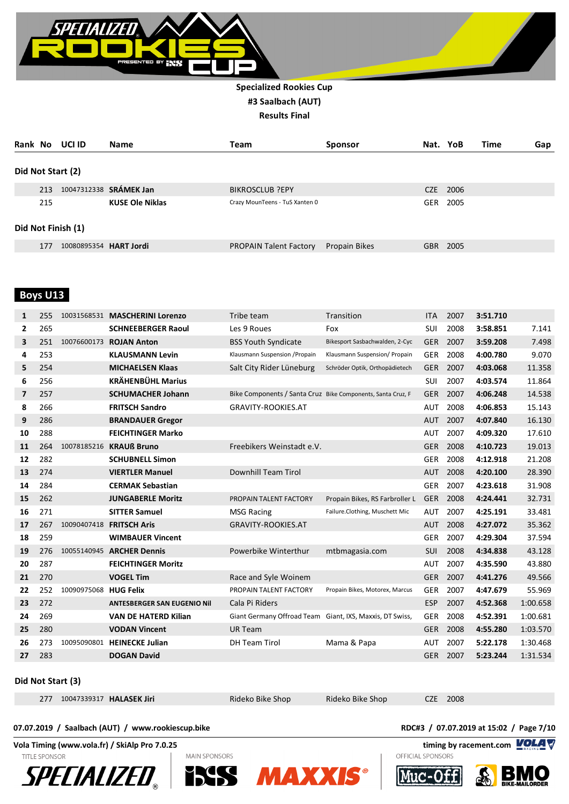

| Rank No |                    | UCI ID                 | <b>Name</b>            | Team                           | <b>Sponsor</b> | Nat. YoB   |      | Time | Gap |  |
|---------|--------------------|------------------------|------------------------|--------------------------------|----------------|------------|------|------|-----|--|
|         |                    | Did Not Start (2)      |                        |                                |                |            |      |      |     |  |
|         | 213                |                        | 10047312338 SRÁMEK Jan | <b>BIKROSCLUB ?EPY</b>         |                | CZE        | 2006 |      |     |  |
|         | 215                |                        | <b>KUSE Ole Niklas</b> | Crazy MounTeens - TuS Xanten 0 |                | <b>GER</b> | 2005 |      |     |  |
|         | Did Not Finish (1) |                        |                        |                                |                |            |      |      |     |  |
|         | 177                | 10080895354 HART Jordi |                        | <b>PROPAIN Talent Factory</b>  | Propain Bikes  | <b>GBR</b> | 2005 |      |     |  |

## **Boys U13**

| 1              | 255 |                       | 10031568531 MASCHERINI Lorenzo     | Tribe team                                                  | Transition                     | <b>ITA</b> | 2007 | 3:51.710 |          |
|----------------|-----|-----------------------|------------------------------------|-------------------------------------------------------------|--------------------------------|------------|------|----------|----------|
| 2              | 265 |                       | <b>SCHNEEBERGER Raoul</b>          | Les 9 Roues                                                 | Fox                            | <b>SUI</b> | 2008 | 3:58.851 | 7.141    |
| 3              | 251 | 10076600173           | <b>ROJAN Anton</b>                 | <b>BSS Youth Syndicate</b>                                  | Bikesport Sasbachwalden, 2-Cyc | <b>GER</b> | 2007 | 3:59.208 | 7.498    |
| 4              | 253 |                       | <b>KLAUSMANN Levin</b>             | Klausmann Suspension / Propain                              | Klausmann Suspension/ Propain  | <b>GER</b> | 2008 | 4:00.780 | 9.070    |
| 5              | 254 |                       | <b>MICHAELSEN Klaas</b>            | Salt City Rider Lüneburg                                    | Schröder Optik, Orthopädietech | <b>GER</b> | 2007 | 4:03.068 | 11.358   |
| 6              | 256 |                       | <b>KRÄHENBÜHL Marius</b>           |                                                             |                                | SUI        | 2007 | 4:03.574 | 11.864   |
| $\overline{ }$ | 257 |                       | <b>SCHUMACHER Johann</b>           | Bike Components / Santa Cruz Bike Components, Santa Cruz, F |                                | <b>GER</b> | 2007 | 4:06.248 | 14.538   |
| 8              | 266 |                       | <b>FRITSCH Sandro</b>              | <b>GRAVITY-ROOKIES.AT</b>                                   |                                | AUT        | 2008 | 4:06.853 | 15.143   |
| 9              | 286 |                       | <b>BRANDAUER Gregor</b>            |                                                             |                                | <b>AUT</b> | 2007 | 4:07.840 | 16.130   |
| 10             | 288 |                       | <b>FEICHTINGER Marko</b>           |                                                             |                                | <b>AUT</b> | 2007 | 4:09.320 | 17.610   |
| 11             | 264 |                       | 10078185216 KRAUß Bruno            | Freebikers Weinstadt e.V.                                   |                                | <b>GER</b> | 2008 | 4:10.723 | 19.013   |
| 12             | 282 |                       | <b>SCHUBNELL Simon</b>             |                                                             |                                | <b>GER</b> | 2008 | 4:12.918 | 21.208   |
| 13             | 274 |                       | <b>VIERTLER Manuel</b>             | <b>Downhill Team Tirol</b>                                  |                                | <b>AUT</b> | 2008 | 4:20.100 | 28.390   |
| 14             | 284 |                       | <b>CERMAK Sebastian</b>            |                                                             |                                | <b>GER</b> | 2007 | 4:23.618 | 31.908   |
| 15             | 262 |                       | <b>JUNGABERLE Moritz</b>           | PROPAIN TALENT FACTORY                                      | Propain Bikes, RS Farbroller L | <b>GER</b> | 2008 | 4:24.441 | 32.731   |
| 16             | 271 |                       | <b>SITTER Samuel</b>               | <b>MSG Racing</b>                                           | Failure.Clothing, Muschett Mic | <b>AUT</b> | 2007 | 4:25.191 | 33.481   |
| 17             | 267 |                       | 10090407418 FRITSCH Aris           | <b>GRAVITY-ROOKIES.AT</b>                                   |                                | <b>AUT</b> | 2008 | 4:27.072 | 35.362   |
| 18             | 259 |                       | <b>WIMBAUER Vincent</b>            |                                                             |                                | <b>GER</b> | 2007 | 4:29.304 | 37.594   |
| 19             | 276 |                       | 10055140945 ARCHER Dennis          | Powerbike Winterthur                                        | mtbmagasia.com                 | <b>SUI</b> | 2008 | 4:34.838 | 43.128   |
| 20             | 287 |                       | <b>FEICHTINGER Moritz</b>          |                                                             |                                | <b>AUT</b> | 2007 | 4:35.590 | 43.880   |
| 21             | 270 |                       | <b>VOGEL Tim</b>                   | Race and Syle Woinem                                        |                                | <b>GER</b> | 2007 | 4:41.276 | 49.566   |
| 22             | 252 | 10090975068 HUG Felix |                                    | PROPAIN TALENT FACTORY                                      | Propain Bikes, Motorex, Marcus | <b>GER</b> | 2007 | 4:47.679 | 55.969   |
| 23             | 272 |                       | <b>ANTESBERGER SAN EUGENIO Nil</b> | Cala Pi Riders                                              |                                | <b>ESP</b> | 2007 | 4:52.368 | 1:00.658 |
| 24             | 269 |                       | <b>VAN DE HATERD Kilian</b>        | Giant Germany Offroad Team Giant, IXS, Maxxis, DT Swiss,    |                                | <b>GER</b> | 2008 | 4:52.391 | 1:00.681 |
| 25             | 280 |                       | <b>VODAN Vincent</b>               | <b>UR Team</b>                                              |                                | <b>GER</b> | 2008 | 4:55.280 | 1:03.570 |
| 26             | 273 | 10095090801           | <b>HEINECKE Julian</b>             | <b>DH Team Tirol</b>                                        | Mama & Papa                    | <b>AUT</b> | 2007 | 5:22.178 | 1:30.468 |
| 27             | 283 |                       | <b>DOGAN David</b>                 |                                                             |                                | <b>GER</b> | 2007 | 5:23.244 | 1:31.534 |

#### **Did Not Start (3)**

| 277 10047339317 HALASEK Jiri |
|------------------------------|
|------------------------------|

Rideko Bike Shop Rideko Bike Shop CZE 2008

OFFICIAL SPONSORS

#### **07.07.2019 / Saalbach (AUT) / www.rookiescup.bike RDC#3 / 07.07.2019 at 15:02 / Page 7/10**

**Vola Timing (www.vola.fr) / SkiAlp Pro 7.0.25 timing by racement.com VOLAT** 

**TITLE SPONSOR** 











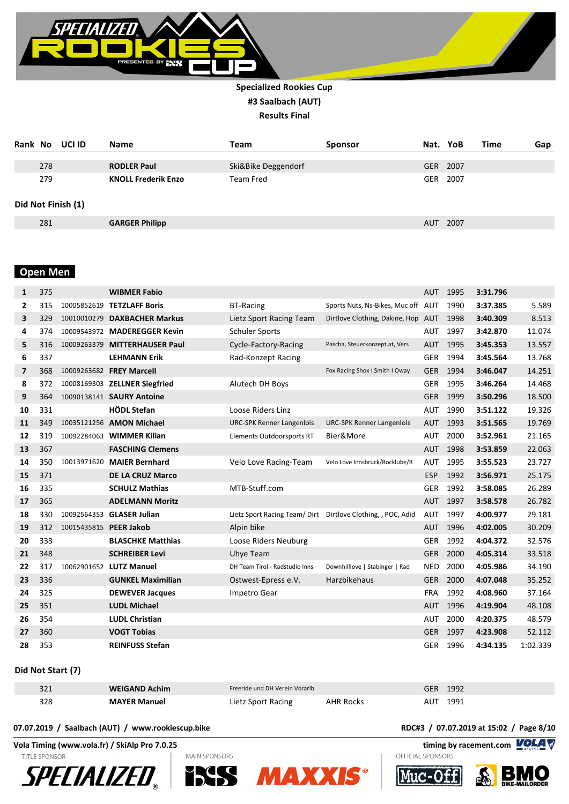

| Rank No |     | UCI ID             | <b>Name</b>                | <b>Team</b>         | <b>Sponsor</b> |            | Nat. YoB | Time | Gap |
|---------|-----|--------------------|----------------------------|---------------------|----------------|------------|----------|------|-----|
|         | 278 |                    | <b>RODLER Paul</b>         | Ski&Bike Deggendorf |                |            | GER 2007 |      |     |
|         | 279 |                    | <b>KNOLL Frederik Enzo</b> | Team Fred           |                | GER        | 2007     |      |     |
|         |     | Did Not Finish (1) |                            |                     |                |            |          |      |     |
|         | 281 |                    | <b>GARGER Philipp</b>      |                     |                | <b>AUT</b> | 2007     |      |     |

## **Open Men**

| 1              | 375 |                        | <b>WIBMER Fabio</b>           |                                  |                                                              | <b>AUT</b> | 1995 | 3:31.796 |          |
|----------------|-----|------------------------|-------------------------------|----------------------------------|--------------------------------------------------------------|------------|------|----------|----------|
| $\mathbf{2}$   | 315 | 10005852619            | <b>TETZLAFF Boris</b>         | <b>BT-Racing</b>                 | Sports Nuts, Ns-Bikes, Muc off AUT                           |            | 1990 | 3:37.385 | 5.589    |
| 3              | 329 |                        | 10010010279 DAXBACHER Markus  | Lietz Sport Racing Team          | Dirtlove Clothing, Dakine, Hop AUT                           |            | 1998 | 3:40.309 | 8.513    |
| 4              | 374 |                        | 10009543972 MADEREGGER Kevin  | <b>Schuler Sports</b>            |                                                              | AUT        | 1997 | 3:42.870 | 11.074   |
| 5              | 316 |                        | 10009263379 MITTERHAUSER Paul | Cycle-Factory-Racing             | Pascha, Steuerkonzept.at, Vers                               | <b>AUT</b> | 1995 | 3:45.353 | 13.557   |
| 6              | 337 |                        | <b>LEHMANN Erik</b>           | Rad-Konzept Racing               |                                                              | GER        | 1994 | 3:45.564 | 13.768   |
| $\overline{7}$ | 368 |                        | 10009263682 FREY Marcell      |                                  | Fox Racing Shox I Smith I Oway                               | <b>GER</b> | 1994 | 3:46.047 | 14.251   |
| 8              | 372 |                        | 10008169303 ZELLNER Siegfried | Alutech DH Boys                  |                                                              | <b>GER</b> | 1995 | 3:46.264 | 14.468   |
| 9              | 364 |                        | 10090138141 SAURY Antoine     |                                  |                                                              | <b>GER</b> | 1999 | 3:50.296 | 18.500   |
| 10             | 331 |                        | <b>HÖDL Stefan</b>            | Loose Riders Linz                |                                                              | AUT        | 1990 | 3:51.122 | 19.326   |
| 11             | 349 |                        | 10035121256 AMON Michael      | <b>URC-SPK Renner Langenlois</b> | <b>URC-SPK Renner Langenlois</b>                             | <b>AUT</b> | 1993 | 3:51.565 | 19.769   |
| 12             | 319 |                        | 10092284063 WIMMER Kilian     | <b>Elements Outdoorsports RT</b> | Bier&More                                                    | <b>AUT</b> | 2000 | 3:52.961 | 21.165   |
| 13             | 367 |                        | <b>FASCHING Clemens</b>       |                                  |                                                              | <b>AUT</b> | 1998 | 3:53.859 | 22.063   |
| 14             | 350 | 10013971620            | <b>MAIER Bernhard</b>         | Velo Love Racing-Team            | Velo Love Innsbruck/Rocklube/R                               | <b>AUT</b> | 1995 | 3:55.523 | 23.727   |
| 15             | 371 |                        | <b>DE LA CRUZ Marco</b>       |                                  |                                                              | <b>ESP</b> | 1992 | 3:56.971 | 25.175   |
| 16             | 335 |                        | <b>SCHULZ Mathias</b>         | MTB-Stuff.com                    |                                                              | <b>GER</b> | 1992 | 3:58.085 | 26.289   |
| 17             | 365 |                        | <b>ADELMANN Moritz</b>        |                                  |                                                              | <b>AUT</b> | 1997 | 3:58.578 | 26.782   |
| 18             | 330 |                        | 10092564353 GLASER Julian     |                                  | Lietz Sport Racing Team/ Dirt Dirtlove Clothing, , POC, Adid | <b>AUT</b> | 1997 | 4:00.977 | 29.181   |
| 19             | 312 | 10015435815 PEER Jakob |                               | Alpin bike                       |                                                              | <b>AUT</b> | 1996 | 4:02.005 | 30.209   |
| 20             | 333 |                        | <b>BLASCHKE Matthias</b>      | Loose Riders Neuburg             |                                                              | <b>GER</b> | 1992 | 4:04.372 | 32.576   |
| 21             | 348 |                        | <b>SCHREIBER Levi</b>         | Uhye Team                        |                                                              | <b>GER</b> | 2000 | 4:05.314 | 33.518   |
| 22             | 317 |                        | 10062901652 LUTZ Manuel       | DH Team Tirol - Radstudio Inns   | Downhilllove   Stabinger   Rad                               | <b>NED</b> | 2000 | 4:05.986 | 34.190   |
| 23             | 336 |                        | <b>GUNKEL Maximilian</b>      | Ostwest-Epress e.V.              | Harzbikehaus                                                 | <b>GER</b> | 2000 | 4:07.048 | 35.252   |
| 24             | 325 |                        | <b>DEWEVER Jacques</b>        | Impetro Gear                     |                                                              | <b>FRA</b> | 1992 | 4:08.960 | 37.164   |
| 25             | 351 |                        | <b>LUDL Michael</b>           |                                  |                                                              | <b>AUT</b> | 1996 | 4:19.904 | 48.108   |
| 26             | 354 |                        | <b>LUDL Christian</b>         |                                  |                                                              | <b>AUT</b> | 2000 | 4:20.375 | 48.579   |
| 27             | 360 |                        | <b>VOGT Tobias</b>            |                                  |                                                              | <b>GER</b> | 1997 | 4:23.908 | 52.112   |
| 28             | 353 |                        | <b>REINFUSS Stefan</b>        |                                  |                                                              | <b>GER</b> | 1996 | 4:34.135 | 1:02.339 |

#### **Did Not Start (7)**

| 321 | <b>WEIGAND Achim</b> | Freeride und DH Verein Vorarlb |           | 1992 |
|-----|----------------------|--------------------------------|-----------|------|
| 328 | <b>MAYER Manuel</b>  | Lietz Sport Racing             | AHR Rocks | 1991 |

#### **07.07.2019 / Saalbach (AUT) / www.rookiescup.bike RDC#3 / 07.07.2019 at 15:02 / Page 8/10**

**Vola Timing (www.vola.fr) / SkiAlp Pro 7.0.25 timing by racement.com** 

**TITLE SPONSOR** 











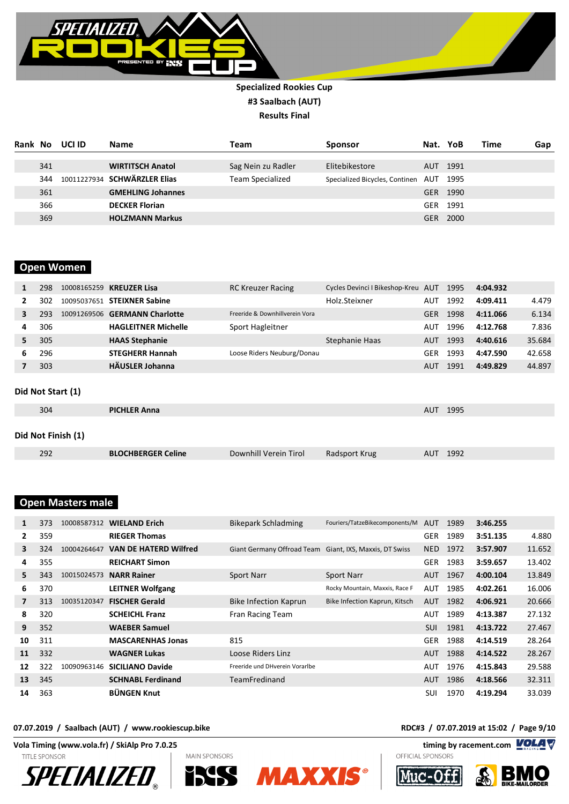

| Rank | No  | UCI ID | <b>Name</b>                  | Team               | <b>Sponsor</b>                     | Nat.       | YoB      | Time | Gap |
|------|-----|--------|------------------------------|--------------------|------------------------------------|------------|----------|------|-----|
|      | 341 |        | <b>WIRTITSCH Anatol</b>      | Sag Nein zu Radler | Elitebikestore                     |            | AUT 1991 |      |     |
|      | 344 |        | 10011227934 SCHWÄRZLER Elias | Team Specialized   | Specialized Bicycles, Continen AUT |            | 1995     |      |     |
|      | 361 |        | <b>GMEHLING Johannes</b>     |                    |                                    |            | GER 1990 |      |     |
|      | 366 |        | <b>DECKER Florian</b>        |                    |                                    | GER        | 1991     |      |     |
|      | 369 |        | <b>HOLZMANN Markus</b>       |                    |                                    | <b>GER</b> | 2000     |      |     |

## **Open Women**

| 1                  | 298 |                   | 10008165259 KREUZER Lisa             | <b>RC Kreuzer Racing</b>       | Cycles Devinci I Bikeshop-Kreu AUT |            | 1995 | 4:04.932 |        |  |
|--------------------|-----|-------------------|--------------------------------------|--------------------------------|------------------------------------|------------|------|----------|--------|--|
| 2                  | 302 |                   | 10095037651 STEIXNER Sabine          |                                | Holz.Steixner                      | <b>AUT</b> | 1992 | 4:09.411 | 4.479  |  |
| 3                  | 293 |                   | 10091269506 <b>GERMANN Charlotte</b> | Freeride & Downhillverein Vora |                                    | <b>GER</b> | 1998 | 4:11.066 | 6.134  |  |
| 4                  | 306 |                   | <b>HAGLEITNER Michelle</b>           | Sport Hagleitner               |                                    | AUT        | 1996 | 4:12.768 | 7.836  |  |
| 5.                 | 305 |                   | <b>HAAS Stephanie</b>                |                                | Stephanie Haas                     | <b>AUT</b> | 1993 | 4:40.616 | 35.684 |  |
| 6                  | 296 |                   | <b>STEGHERR Hannah</b>               | Loose Riders Neuburg/Donau     |                                    | <b>GER</b> | 1993 | 4:47.590 | 42.658 |  |
| 7                  | 303 |                   | <b>HÄUSLER Johanna</b>               |                                |                                    | <b>AUT</b> | 1991 | 4:49.829 | 44.897 |  |
|                    |     | Did Not Start (1) |                                      |                                |                                    |            |      |          |        |  |
|                    | 304 |                   | <b>PICHLER Anna</b>                  |                                |                                    | <b>AUT</b> | 1995 |          |        |  |
| Did Not Finish (1) |     |                   |                                      |                                |                                    |            |      |          |        |  |
|                    | 292 |                   | <b>BLOCHBERGER Celine</b>            | Downhill Verein Tirol          | Radsport Krug                      | <b>AUT</b> | 1992 |          |        |  |

## **Open Masters male**

| 1  | 373 | 10008587312 | <b>WIELAND Erich</b>         | Bikepark Schladming                                     | Fouriers/TatzeBikecomponents/M | <b>AUT</b> | 1989 | 3:46.255 |        |
|----|-----|-------------|------------------------------|---------------------------------------------------------|--------------------------------|------------|------|----------|--------|
| 2  | 359 |             | <b>RIEGER Thomas</b>         |                                                         |                                | <b>GER</b> | 1989 | 3:51.135 | 4.880  |
| 3  | 324 | 10004264647 | <b>VAN DE HATERD Wilfred</b> | Giant Germany Offroad Team Giant, IXS, Maxxis, DT Swiss |                                | <b>NED</b> | 1972 | 3:57.907 | 11.652 |
| 4  | 355 |             | <b>REICHART Simon</b>        |                                                         |                                | <b>GER</b> | 1983 | 3:59.657 | 13.402 |
| 5. | 343 | 10015024573 | <b>NARR Rainer</b>           | <b>Sport Narr</b>                                       | Sport Narr                     | <b>AUT</b> | 1967 | 4:00.104 | 13.849 |
| 6  | 370 |             | <b>LEITNER Wolfgang</b>      |                                                         | Rocky Mountain, Maxxis, Race F | <b>AUT</b> | 1985 | 4:02.261 | 16.006 |
|    | 313 | 10035120347 | <b>FISCHER Gerald</b>        | Bike Infection Kaprun                                   | Bike Infection Kaprun, Kitsch  | <b>AUT</b> | 1982 | 4:06.921 | 20.666 |
| 8  | 320 |             | <b>SCHEICHL Franz</b>        | Fran Racing Team                                        |                                | <b>AUT</b> | 1989 | 4:13.387 | 27.132 |
| 9  | 352 |             | <b>WAEBER Samuel</b>         |                                                         |                                | <b>SUI</b> | 1981 | 4:13.722 | 27.467 |
| 10 | 311 |             | <b>MASCARENHAS Jonas</b>     | 815                                                     |                                | <b>GER</b> | 1988 | 4:14.519 | 28.264 |
| 11 | 332 |             | <b>WAGNER Lukas</b>          | Loose Riders Linz                                       |                                | <b>AUT</b> | 1988 | 4:14.522 | 28.267 |
| 12 | 322 | 10090963146 | <b>SICILIANO Davide</b>      | Freeride und DHverein Vorarlbe                          |                                | <b>AUT</b> | 1976 | 4:15.843 | 29.588 |
| 13 | 345 |             | <b>SCHNABL Ferdinand</b>     | TeamFredinand                                           |                                | AUT        | 1986 | 4:18.566 | 32.311 |
| 14 | 363 |             | <b>BÜNGEN Knut</b>           |                                                         |                                | SUI        | 1970 | 4:19.294 | 33.039 |

**Vola Timing (www.vola.fr) / SkiAlp Pro 7.0.25 timing by racement.com** 

**TITLE SPONSOR**